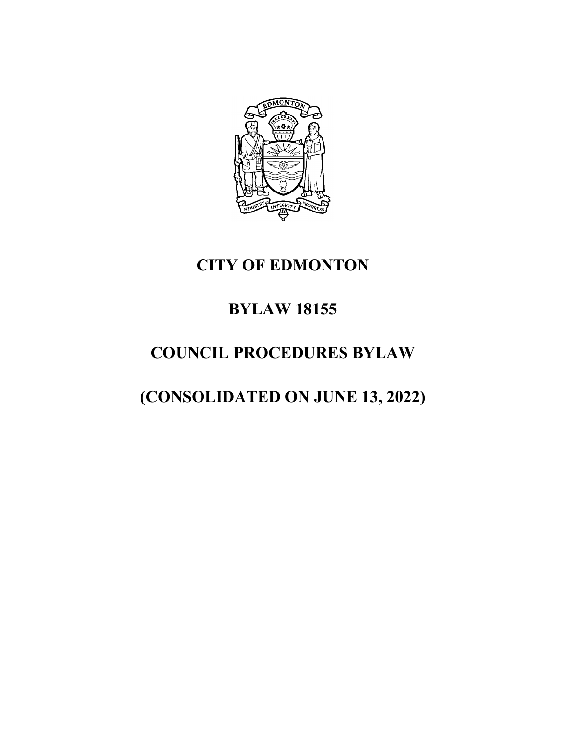

# **CITY OF EDMONTON**

# **BYLAW 18155**

# **COUNCIL PROCEDURES BYLAW**

# **(CONSOLIDATED ON JUNE 13, 2022)**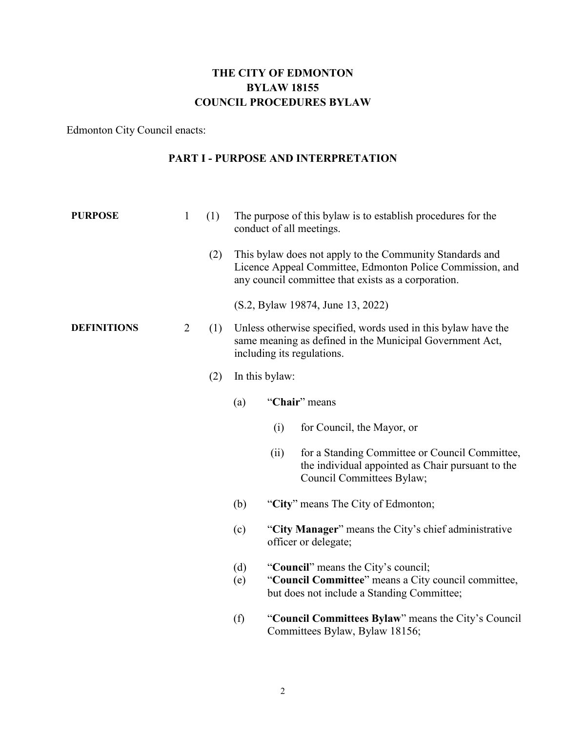## **THE CITY OF EDMONTON BYLAW 18155 COUNCIL PROCEDURES BYLAW**

Edmonton City Council enacts:

## **PART I - PURPOSE AND INTERPRETATION**

| <b>PURPOSE</b>     | $\mathbf{1}$   | (1) |     |                | The purpose of this bylaw is to establish procedures for the<br>conduct of all meetings.                                                                                     |
|--------------------|----------------|-----|-----|----------------|------------------------------------------------------------------------------------------------------------------------------------------------------------------------------|
|                    |                | (2) |     |                | This bylaw does not apply to the Community Standards and<br>Licence Appeal Committee, Edmonton Police Commission, and<br>any council committee that exists as a corporation. |
|                    |                |     |     |                | (S.2, Bylaw 19874, June 13, 2022)                                                                                                                                            |
| <b>DEFINITIONS</b> | $\overline{2}$ | (1) |     |                | Unless otherwise specified, words used in this bylaw have the<br>same meaning as defined in the Municipal Government Act,<br>including its regulations.                      |
|                    |                | (2) |     | In this bylaw: |                                                                                                                                                                              |
|                    |                |     | (a) |                | "Chair" means                                                                                                                                                                |
|                    |                |     |     | (i)            | for Council, the Mayor, or                                                                                                                                                   |
|                    |                |     |     | (ii)           | for a Standing Committee or Council Committee,<br>the individual appointed as Chair pursuant to the<br>Council Committees Bylaw;                                             |
|                    |                |     | (b) |                | "City" means The City of Edmonton;                                                                                                                                           |
|                    |                |     | (c) |                | "City Manager" means the City's chief administrative<br>officer or delegate;                                                                                                 |
|                    |                |     | (d) |                | "Council" means the City's council;                                                                                                                                          |
|                    |                |     | (e) |                | "Council Committee" means a City council committee,<br>but does not include a Standing Committee;                                                                            |
|                    |                |     | (f) |                | "Council Committees Bylaw" means the City's Council<br>Committees Bylaw, Bylaw 18156;                                                                                        |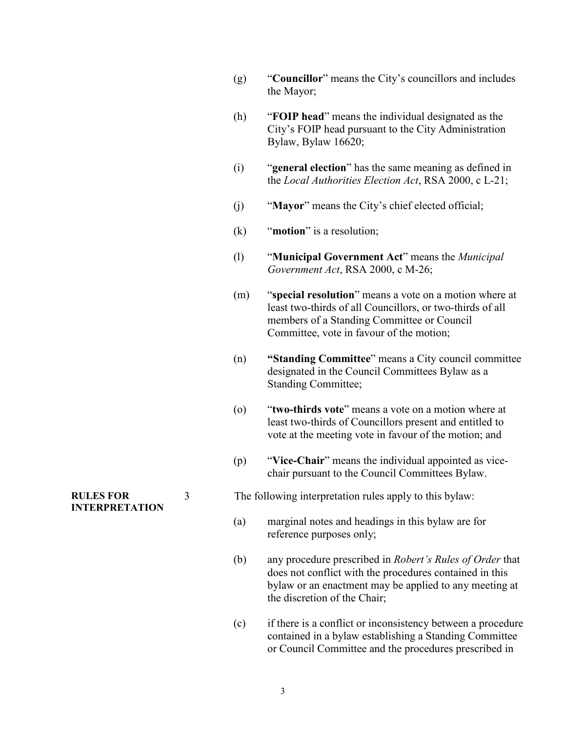| (g) | "Councillor" means the City's councillors and includes |
|-----|--------------------------------------------------------|
|     | the Mayor;                                             |

- (h) "**FOIP head**" means the individual designated as the City's FOIP head pursuant to the City Administration Bylaw, Bylaw 16620;
- (i) "**general election**" has the same meaning as defined in the *Local Authorities Election Act*, RSA 2000, c L-21;
- (j) "**Mayor**" means the City's chief elected official;
- (k) "**motion**" is a resolution;
- (l) "**Municipal Government Act**" means the *Municipal Government Act*, RSA 2000, c M-26;
- (m) "**special resolution**" means a vote on a motion where at least two-thirds of all Councillors, or two-thirds of all members of a Standing Committee or Council Committee, vote in favour of the motion;
- (n) **"Standing Committee**" means a City council committee designated in the Council Committees Bylaw as a Standing Committee;
- (o) "**two-thirds vote**" means a vote on a motion where at least two-thirds of Councillors present and entitled to vote at the meeting vote in favour of the motion; and
- (p) "**Vice-Chair**" means the individual appointed as vicechair pursuant to the Council Committees Bylaw.

3 The following interpretation rules apply to this bylaw:

- (a) marginal notes and headings in this bylaw are for reference purposes only;
- (b) any procedure prescribed in *Robert's Rules of Order* that does not conflict with the procedures contained in this bylaw or an enactment may be applied to any meeting at the discretion of the Chair;
- (c) if there is a conflict or inconsistency between a procedure contained in a bylaw establishing a Standing Committee or Council Committee and the procedures prescribed in

**RULES FOR INTERPRETATION**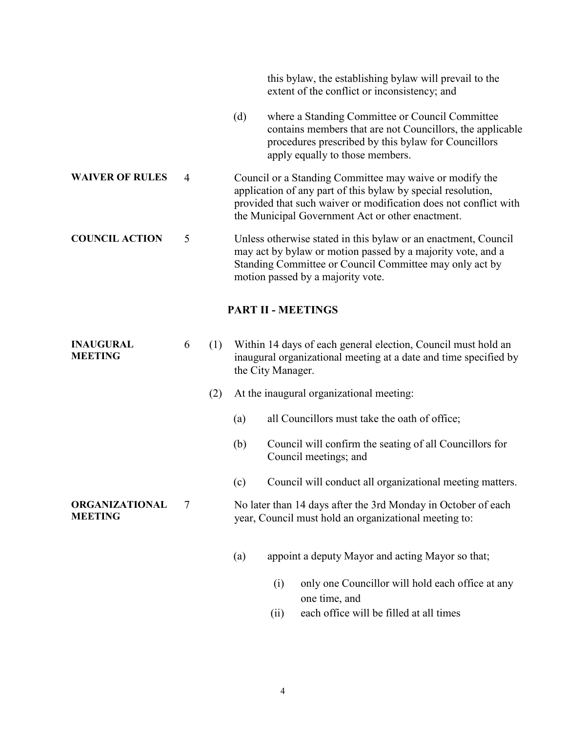this bylaw, the establishing bylaw will prevail to the extent of the conflict or inconsistency; and (d) where a Standing Committee or Council Committee contains members that are not Councillors, the applicable procedures prescribed by this bylaw for Councillors apply equally to those members. **WAIVER OF RULES** 4 Council or a Standing Committee may waive or modify the application of any part of this bylaw by special resolution, provided that such waiver or modification does not conflict with the Municipal Government Act or other enactment. **COUNCIL ACTION** 5 Unless otherwise stated in this bylaw or an enactment, Council may act by bylaw or motion passed by a majority vote, and a Standing Committee or Council Committee may only act by motion passed by a majority vote. **PART II - MEETINGS INAUGURAL MEETING** 6 (1) Within 14 days of each general election, Council must hold an inaugural organizational meeting at a date and time specified by the City Manager. (2) At the inaugural organizational meeting: (a) all Councillors must take the oath of office; (b) Council will confirm the seating of all Councillors for Council meetings; and (c) Council will conduct all organizational meeting matters. **ORGANIZATIONAL MEETING** 7 No later than 14 days after the 3rd Monday in October of each year, Council must hold an organizational meeting to: (a) appoint a deputy Mayor and acting Mayor so that; (i) only one Councillor will hold each office at any

(ii) each office will be filled at all times

one time, and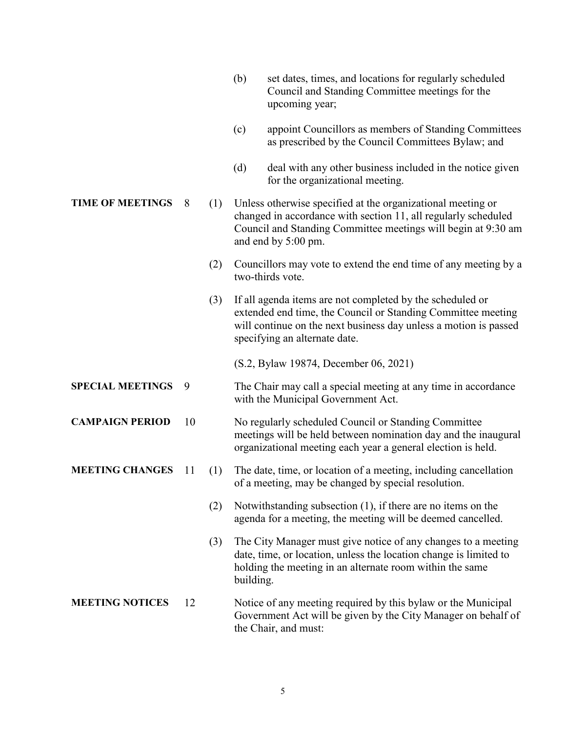as prescribed by the Council Committees Bylaw; and (d) deal with any other business included in the notice given for the organizational meeting. **TIME OF MEETINGS** 8 (1) Unless otherwise specified at the organizational meeting or changed in accordance with section 11, all regularly scheduled Council and Standing Committee meetings will begin at 9:30 am and end by 5:00 pm. (2) Councillors may vote to extend the end time of any meeting by a two-thirds vote. (3) If all agenda items are not completed by the scheduled or extended end time, the Council or Standing Committee meeting will continue on the next business day unless a motion is passed specifying an alternate date. (S.2, Bylaw 19874, December 06, 2021) **SPECIAL MEETINGS** 9 The Chair may call a special meeting at any time in accordance with the Municipal Government Act. **CAMPAIGN PERIOD** 10 No regularly scheduled Council or Standing Committee meetings will be held between nomination day and the inaugural organizational meeting each year a general election is held. **MEETING CHANGES** 11 (1) The date, time, or location of a meeting, including cancellation of a meeting, may be changed by special resolution. (2) Notwithstanding subsection (1), if there are no items on the agenda for a meeting, the meeting will be deemed cancelled. (3) The City Manager must give notice of any changes to a meeting date, time, or location, unless the location change is limited to holding the meeting in an alternate room within the same building. **MEETING NOTICES** 12 Notice of any meeting required by this bylaw or the Municipal Government Act will be given by the City Manager on behalf of the Chair, and must:

upcoming year;

(b) set dates, times, and locations for regularly scheduled Council and Standing Committee meetings for the

(c) appoint Councillors as members of Standing Committees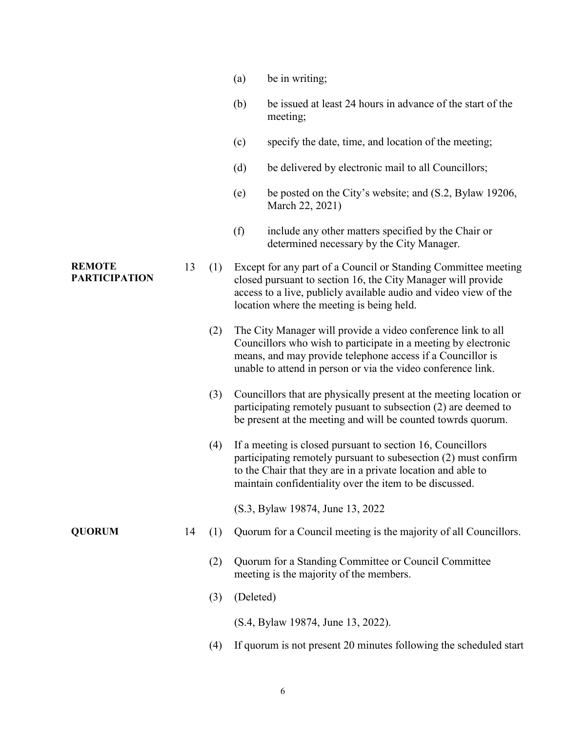|                                       |    |     | (a)       | be in writing;                                                                                                                                                                                                                                               |
|---------------------------------------|----|-----|-----------|--------------------------------------------------------------------------------------------------------------------------------------------------------------------------------------------------------------------------------------------------------------|
|                                       |    |     | (b)       | be issued at least 24 hours in advance of the start of the<br>meeting;                                                                                                                                                                                       |
|                                       |    |     | (c)       | specify the date, time, and location of the meeting;                                                                                                                                                                                                         |
|                                       |    |     | (d)       | be delivered by electronic mail to all Councillors;                                                                                                                                                                                                          |
|                                       |    |     | (e)       | be posted on the City's website; and (S.2, Bylaw 19206,<br>March 22, 2021)                                                                                                                                                                                   |
|                                       |    |     | (f)       | include any other matters specified by the Chair or<br>determined necessary by the City Manager.                                                                                                                                                             |
| <b>REMOTE</b><br><b>PARTICIPATION</b> | 13 | (1) |           | Except for any part of a Council or Standing Committee meeting<br>closed pursuant to section 16, the City Manager will provide<br>access to a live, publicly available audio and video view of the<br>location where the meeting is being held.              |
|                                       |    | (2) |           | The City Manager will provide a video conference link to all<br>Councillors who wish to participate in a meeting by electronic<br>means, and may provide telephone access if a Councillor is<br>unable to attend in person or via the video conference link. |
|                                       |    | (3) |           | Councillors that are physically present at the meeting location or<br>participating remotely pusuant to subsection (2) are deemed to<br>be present at the meeting and will be counted towrds quorum.                                                         |
|                                       |    | (4) |           | If a meeting is closed pursuant to section 16, Councillors<br>participating remotely pursuant to subesection (2) must confirm<br>to the Chair that they are in a private location and able to<br>maintain confidentiality over the item to be discussed.     |
|                                       |    |     |           | (S.3, Bylaw 19874, June 13, 2022)                                                                                                                                                                                                                            |
| <b>QUORUM</b>                         | 14 | (1) |           | Quorum for a Council meeting is the majority of all Councillors.                                                                                                                                                                                             |
|                                       |    | (2) |           | Quorum for a Standing Committee or Council Committee<br>meeting is the majority of the members.                                                                                                                                                              |
|                                       |    | (3) | (Deleted) |                                                                                                                                                                                                                                                              |
|                                       |    |     |           | (S.4, Bylaw 19874, June 13, 2022).                                                                                                                                                                                                                           |
|                                       |    | (4) |           | If quorum is not present 20 minutes following the scheduled start                                                                                                                                                                                            |

6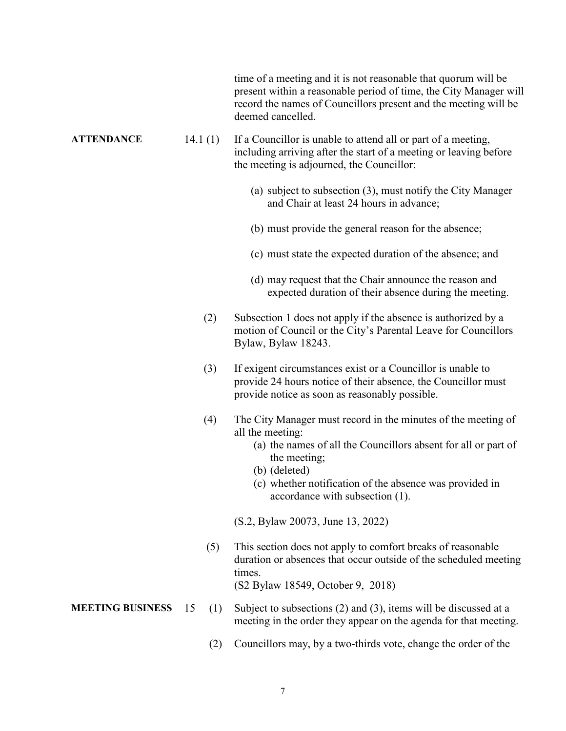time of a meeting and it is not reasonable that quorum will be present within a reasonable period of time, the City Manager will record the names of Councillors present and the meeting will be deemed cancelled.

**ATTENDANCE** 14.1 (1) If a Councillor is unable to attend all or part of a meeting, including arriving after the start of a meeting or leaving before the meeting is adjourned, the Councillor:

- (a) subject to subsection (3), must notify the City Manager and Chair at least 24 hours in advance;
- (b) must provide the general reason for the absence;
- (c) must state the expected duration of the absence; and
- (d) may request that the Chair announce the reason and expected duration of their absence during the meeting.
- (2) Subsection 1 does not apply if the absence is authorized by a motion of Council or the City's Parental Leave for Councillors Bylaw, Bylaw 18243.
- (3) If exigent circumstances exist or a Councillor is unable to provide 24 hours notice of their absence, the Councillor must provide notice as soon as reasonably possible.
- (4) The City Manager must record in the minutes of the meeting of all the meeting:
	- (a) the names of all the Councillors absent for all or part of the meeting;
	- (b) (deleted)
	- (c) whether notification of the absence was provided in accordance with subsection (1).

(S.2, Bylaw 20073, June 13, 2022)

 (5) This section does not apply to comfort breaks of reasonable duration or absences that occur outside of the scheduled meeting times.

(S2 Bylaw 18549, October 9, 2018)

- **MEETING BUSINESS** 15 (1) Subject to subsections (2) and (3), items will be discussed at a meeting in the order they appear on the agenda for that meeting.
	- (2) Councillors may, by a two-thirds vote, change the order of the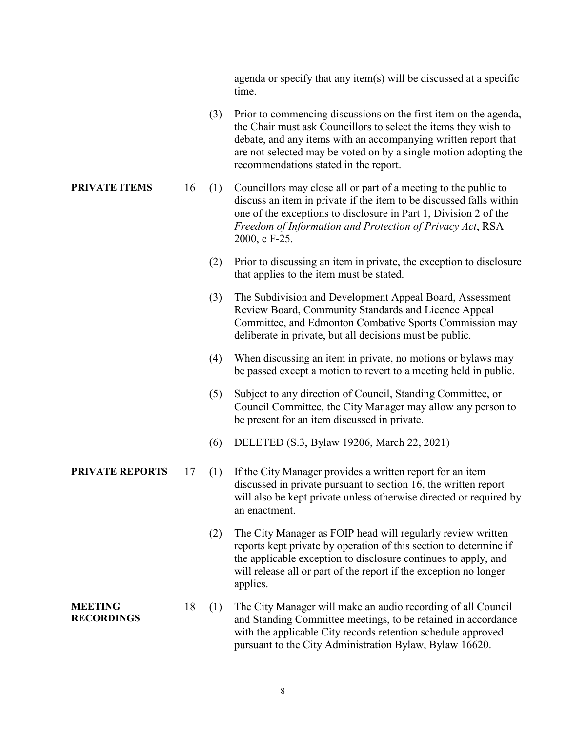agenda or specify that any item(s) will be discussed at a specific time.

- (3) Prior to commencing discussions on the first item on the agenda, the Chair must ask Councillors to select the items they wish to debate, and any items with an accompanying written report that are not selected may be voted on by a single motion adopting the recommendations stated in the report.
- **PRIVATE ITEMS** 16 (1) Councillors may close all or part of a meeting to the public to discuss an item in private if the item to be discussed falls within one of the exceptions to disclosure in Part 1, Division 2 of the *Freedom of Information and Protection of Privacy Act*, RSA 2000, c F-25.
	- (2) Prior to discussing an item in private, the exception to disclosure that applies to the item must be stated.
	- (3) The Subdivision and Development Appeal Board, Assessment Review Board, Community Standards and Licence Appeal Committee, and Edmonton Combative Sports Commission may deliberate in private, but all decisions must be public.
	- (4) When discussing an item in private, no motions or bylaws may be passed except a motion to revert to a meeting held in public.
	- (5) Subject to any direction of Council, Standing Committee, or Council Committee, the City Manager may allow any person to be present for an item discussed in private.
	- (6) DELETED (S.3, Bylaw 19206, March 22, 2021)
- **PRIVATE REPORTS** 17 (1) If the City Manager provides a written report for an item discussed in private pursuant to section 16, the written report will also be kept private unless otherwise directed or required by an enactment.
	- (2) The City Manager as FOIP head will regularly review written reports kept private by operation of this section to determine if the applicable exception to disclosure continues to apply, and will release all or part of the report if the exception no longer applies.
- **MEETING RECORDINGS** 18 (1) The City Manager will make an audio recording of all Council and Standing Committee meetings, to be retained in accordance with the applicable City records retention schedule approved pursuant to the City Administration Bylaw, Bylaw 16620.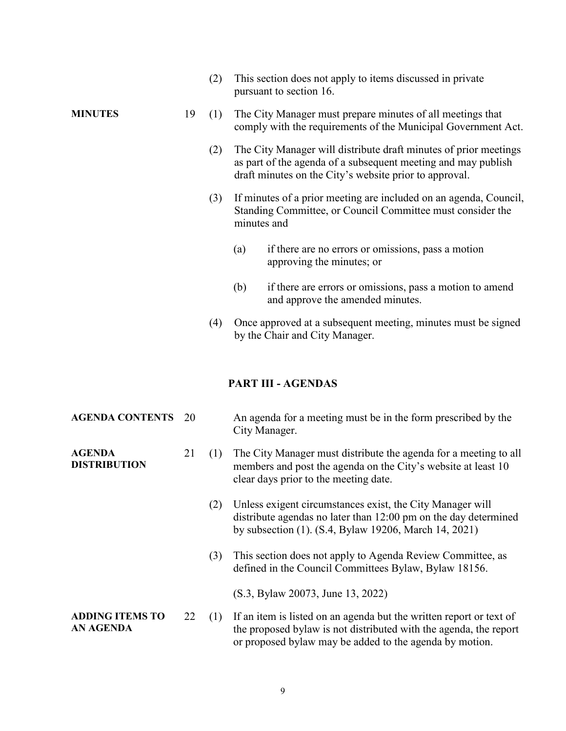|                                            |    | (2) | This section does not apply to items discussed in private<br>pursuant to section 16.                                                                                                                |
|--------------------------------------------|----|-----|-----------------------------------------------------------------------------------------------------------------------------------------------------------------------------------------------------|
| <b>MINUTES</b>                             | 19 | (1) | The City Manager must prepare minutes of all meetings that<br>comply with the requirements of the Municipal Government Act.                                                                         |
|                                            |    | (2) | The City Manager will distribute draft minutes of prior meetings<br>as part of the agenda of a subsequent meeting and may publish<br>draft minutes on the City's website prior to approval.         |
|                                            |    | (3) | If minutes of a prior meeting are included on an agenda, Council,<br>Standing Committee, or Council Committee must consider the<br>minutes and                                                      |
|                                            |    |     | if there are no errors or omissions, pass a motion<br>(a)<br>approving the minutes; or                                                                                                              |
|                                            |    |     | (b)<br>if there are errors or omissions, pass a motion to amend<br>and approve the amended minutes.                                                                                                 |
|                                            |    | (4) | Once approved at a subsequent meeting, minutes must be signed<br>by the Chair and City Manager.                                                                                                     |
|                                            |    |     | <b>PART III - AGENDAS</b>                                                                                                                                                                           |
|                                            |    |     |                                                                                                                                                                                                     |
| <b>AGENDA CONTENTS</b>                     | 20 |     | An agenda for a meeting must be in the form prescribed by the<br>City Manager.                                                                                                                      |
| <b>AGENDA</b><br><b>DISTRIBUTION</b>       | 21 | (1) | The City Manager must distribute the agenda for a meeting to all<br>members and post the agenda on the City's website at least 10<br>clear days prior to the meeting date.                          |
|                                            |    | (2) | Unless exigent circumstances exist, the City Manager will<br>distribute agendas no later than 12:00 pm on the day determined<br>by subsection (1). (S.4, Bylaw 19206, March 14, 2021)               |
|                                            |    | (3) | This section does not apply to Agenda Review Committee, as<br>defined in the Council Committees Bylaw, Bylaw 18156.                                                                                 |
|                                            |    |     | (S.3, Bylaw 20073, June 13, 2022)                                                                                                                                                                   |
| <b>ADDING ITEMS TO</b><br><b>AN AGENDA</b> | 22 | (1) | If an item is listed on an agenda but the written report or text of<br>the proposed bylaw is not distributed with the agenda, the report<br>or proposed bylaw may be added to the agenda by motion. |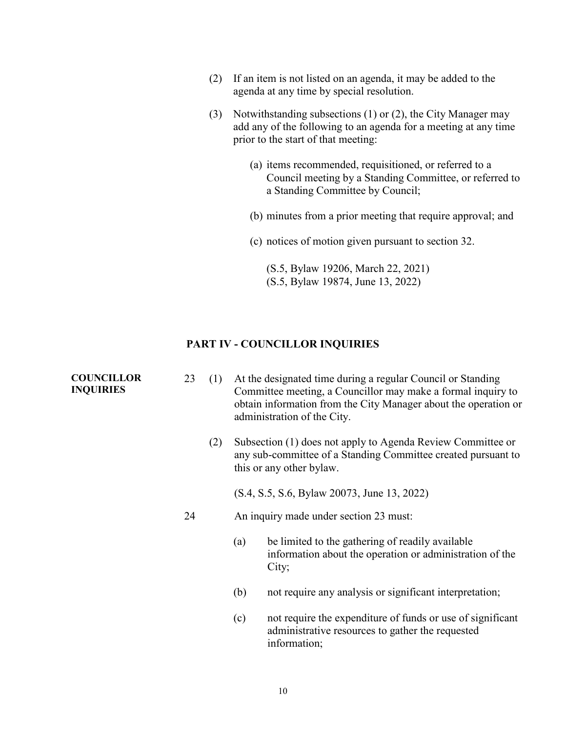- (2) If an item is not listed on an agenda, it may be added to the agenda at any time by special resolution.
- (3) Notwithstanding subsections (1) or (2), the City Manager may add any of the following to an agenda for a meeting at any time prior to the start of that meeting:
	- (a) items recommended, requisitioned, or referred to a Council meeting by a Standing Committee, or referred to a Standing Committee by Council;
	- (b) minutes from a prior meeting that require approval; and
	- (c) notices of motion given pursuant to section 32.

(S.5, Bylaw 19206, March 22, 2021) (S.5, Bylaw 19874, June 13, 2022)

#### **PART IV - COUNCILLOR INQUIRIES**

**COUNCILLOR INQUIRIES**

- 23 (1) At the designated time during a regular Council or Standing Committee meeting, a Councillor may make a formal inquiry to obtain information from the City Manager about the operation or administration of the City.
	- (2) Subsection (1) does not apply to Agenda Review Committee or any sub-committee of a Standing Committee created pursuant to this or any other bylaw.

(S.4, S.5, S.6, Bylaw 20073, June 13, 2022)

- 24 An inquiry made under section 23 must:
	- (a) be limited to the gathering of readily available information about the operation or administration of the City;
	- (b) not require any analysis or significant interpretation;
	- (c) not require the expenditure of funds or use of significant administrative resources to gather the requested information;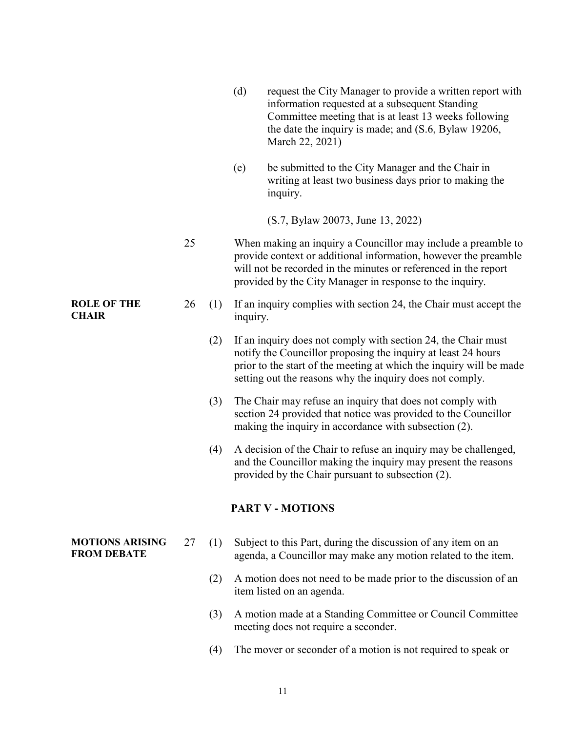|                                              |    |     | (d)<br>request the City Manager to provide a written report with<br>information requested at a subsequent Standing<br>Committee meeting that is at least 13 weeks following<br>the date the inquiry is made; and (S.6, Bylaw 19206,<br>March 22, 2021)            |
|----------------------------------------------|----|-----|-------------------------------------------------------------------------------------------------------------------------------------------------------------------------------------------------------------------------------------------------------------------|
|                                              |    |     | be submitted to the City Manager and the Chair in<br>(e)<br>writing at least two business days prior to making the<br>inquiry.                                                                                                                                    |
|                                              |    |     | (S.7, Bylaw 20073, June 13, 2022)                                                                                                                                                                                                                                 |
|                                              | 25 |     | When making an inquiry a Councillor may include a preamble to<br>provide context or additional information, however the preamble<br>will not be recorded in the minutes or referenced in the report<br>provided by the City Manager in response to the inquiry.   |
| <b>ROLE OF THE</b><br><b>CHAIR</b>           | 26 | (1) | If an inquiry complies with section 24, the Chair must accept the<br>inquiry.                                                                                                                                                                                     |
|                                              |    | (2) | If an inquiry does not comply with section 24, the Chair must<br>notify the Councillor proposing the inquiry at least 24 hours<br>prior to the start of the meeting at which the inquiry will be made<br>setting out the reasons why the inquiry does not comply. |
|                                              |    | (3) | The Chair may refuse an inquiry that does not comply with<br>section 24 provided that notice was provided to the Councillor<br>making the inquiry in accordance with subsection (2).                                                                              |
|                                              |    | (4) | A decision of the Chair to refuse an inquiry may be challenged,<br>and the Councillor making the inquiry may present the reasons<br>provided by the Chair pursuant to subsection (2).                                                                             |
|                                              |    |     | <b>PART V - MOTIONS</b>                                                                                                                                                                                                                                           |
| <b>MOTIONS ARISING</b><br><b>FROM DEBATE</b> | 27 | (1) | Subject to this Part, during the discussion of any item on an<br>agenda, a Councillor may make any motion related to the item.                                                                                                                                    |
|                                              |    | (2) | A motion does not need to be made prior to the discussion of an<br>item listed on an agenda.                                                                                                                                                                      |
|                                              |    | (3) | A motion made at a Standing Committee or Council Committee<br>meeting does not require a seconder.                                                                                                                                                                |

(4) The mover or seconder of a motion is not required to speak or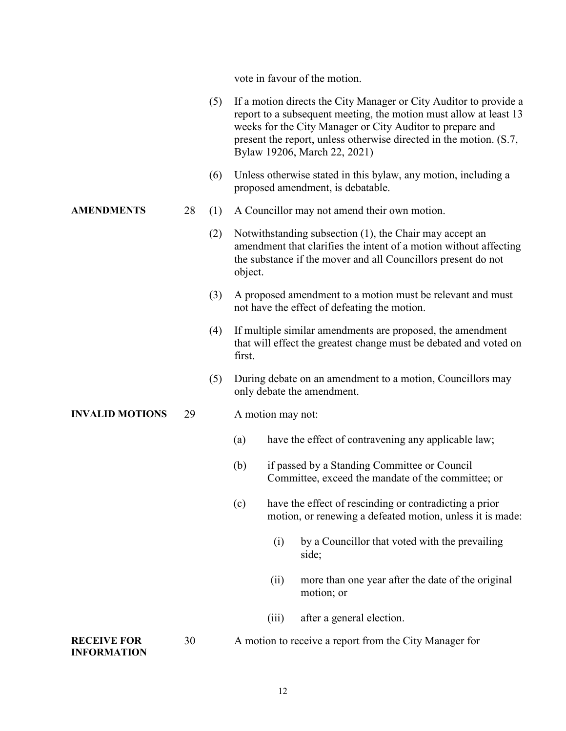vote in favour of the motion.

|                                          |    | (5) |         |                   | If a motion directs the City Manager or City Auditor to provide a<br>report to a subsequent meeting, the motion must allow at least 13<br>weeks for the City Manager or City Auditor to prepare and<br>present the report, unless otherwise directed in the motion. (S.7,<br>Bylaw 19206, March 22, 2021) |
|------------------------------------------|----|-----|---------|-------------------|-----------------------------------------------------------------------------------------------------------------------------------------------------------------------------------------------------------------------------------------------------------------------------------------------------------|
|                                          |    | (6) |         |                   | Unless otherwise stated in this bylaw, any motion, including a<br>proposed amendment, is debatable.                                                                                                                                                                                                       |
| <b>AMENDMENTS</b>                        | 28 | (1) |         |                   | A Councillor may not amend their own motion.                                                                                                                                                                                                                                                              |
|                                          |    | (2) | object. |                   | Notwithstanding subsection (1), the Chair may accept an<br>amendment that clarifies the intent of a motion without affecting<br>the substance if the mover and all Councillors present do not                                                                                                             |
|                                          |    | (3) |         |                   | A proposed amendment to a motion must be relevant and must<br>not have the effect of defeating the motion.                                                                                                                                                                                                |
|                                          |    | (4) | first.  |                   | If multiple similar amendments are proposed, the amendment<br>that will effect the greatest change must be debated and voted on                                                                                                                                                                           |
|                                          |    | (5) |         |                   | During debate on an amendment to a motion, Councillors may<br>only debate the amendment.                                                                                                                                                                                                                  |
| <b>INVALID MOTIONS</b>                   | 29 |     |         | A motion may not: |                                                                                                                                                                                                                                                                                                           |
|                                          |    |     | (a)     |                   | have the effect of contravening any applicable law;                                                                                                                                                                                                                                                       |
|                                          |    |     | (b)     |                   | if passed by a Standing Committee or Council<br>Committee, exceed the mandate of the committee; or                                                                                                                                                                                                        |
|                                          |    |     | (c)     |                   | have the effect of rescinding or contradicting a prior<br>motion, or renewing a defeated motion, unless it is made:                                                                                                                                                                                       |
|                                          |    |     |         | (i)               | by a Councillor that voted with the prevailing<br>side;                                                                                                                                                                                                                                                   |
|                                          |    |     |         | (ii)              | more than one year after the date of the original<br>motion; or                                                                                                                                                                                                                                           |
|                                          |    |     |         | (iii)             | after a general election.                                                                                                                                                                                                                                                                                 |
| <b>RECEIVE FOR</b><br><b>INFORMATION</b> | 30 |     |         |                   | A motion to receive a report from the City Manager for                                                                                                                                                                                                                                                    |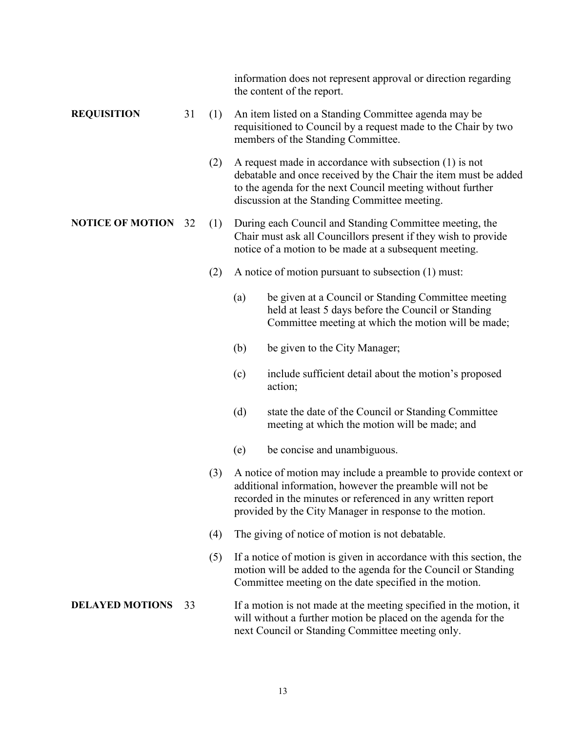information does not represent approval or direction regarding the content of the report.

#### **REQUISITION** 31 (1) An item listed on a Standing Committee agenda may be requisitioned to Council by a request made to the Chair by two members of the Standing Committee.

 (2) A request made in accordance with subsection (1) is not debatable and once received by the Chair the item must be added to the agenda for the next Council meeting without further discussion at the Standing Committee meeting.

#### **NOTICE OF MOTION** 32 (1) During each Council and Standing Committee meeting, the Chair must ask all Councillors present if they wish to provide notice of a motion to be made at a subsequent meeting.

- (2) A notice of motion pursuant to subsection (1) must:
	- (a) be given at a Council or Standing Committee meeting held at least 5 days before the Council or Standing Committee meeting at which the motion will be made;
	- (b) be given to the City Manager;
	- (c) include sufficient detail about the motion's proposed action;
	- (d) state the date of the Council or Standing Committee meeting at which the motion will be made; and
	- (e) be concise and unambiguous.
- (3) A notice of motion may include a preamble to provide context or additional information, however the preamble will not be recorded in the minutes or referenced in any written report provided by the City Manager in response to the motion.
- (4) The giving of notice of motion is not debatable.
- (5) If a notice of motion is given in accordance with this section, the motion will be added to the agenda for the Council or Standing Committee meeting on the date specified in the motion.

#### **DELAYED MOTIONS** 33 If a motion is not made at the meeting specified in the motion, it will without a further motion be placed on the agenda for the next Council or Standing Committee meeting only.

#### 13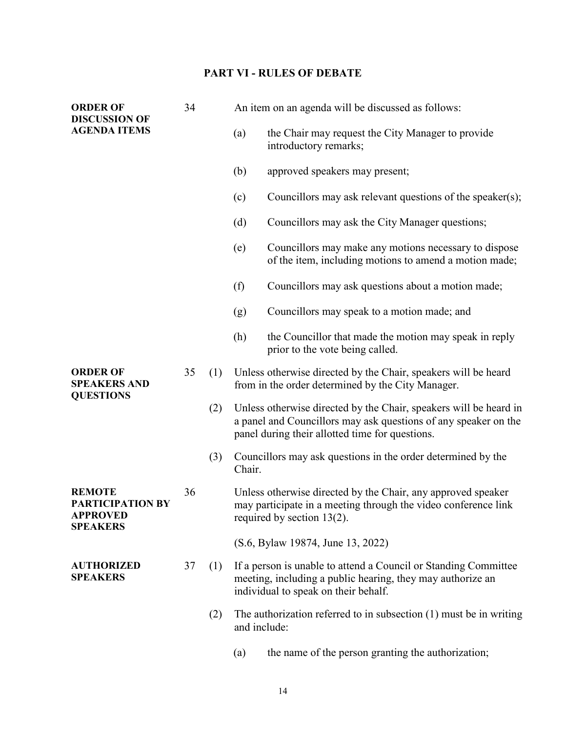## **PART VI - RULES OF DEBATE**

| <b>ORDER OF</b><br><b>DISCUSSION OF</b>                                        | 34 |     | An item on an agenda will be discussed as follows: |                                                                                                                                                                                         |  |
|--------------------------------------------------------------------------------|----|-----|----------------------------------------------------|-----------------------------------------------------------------------------------------------------------------------------------------------------------------------------------------|--|
| <b>AGENDA ITEMS</b>                                                            |    |     | (a)                                                | the Chair may request the City Manager to provide<br>introductory remarks;                                                                                                              |  |
|                                                                                |    |     | (b)                                                | approved speakers may present;                                                                                                                                                          |  |
|                                                                                |    |     | (c)                                                | Councillors may ask relevant questions of the speaker(s);                                                                                                                               |  |
|                                                                                |    |     | (d)                                                | Councillors may ask the City Manager questions;                                                                                                                                         |  |
|                                                                                |    |     | (e)                                                | Councillors may make any motions necessary to dispose<br>of the item, including motions to amend a motion made;                                                                         |  |
|                                                                                |    |     | (f)                                                | Councillors may ask questions about a motion made;                                                                                                                                      |  |
|                                                                                |    |     | (g)                                                | Councillors may speak to a motion made; and                                                                                                                                             |  |
|                                                                                |    |     | (h)                                                | the Councillor that made the motion may speak in reply<br>prior to the vote being called.                                                                                               |  |
| <b>ORDER OF</b><br><b>SPEAKERS AND</b><br><b>QUESTIONS</b>                     | 35 | (1) |                                                    | Unless otherwise directed by the Chair, speakers will be heard<br>from in the order determined by the City Manager.                                                                     |  |
|                                                                                |    | (2) |                                                    | Unless otherwise directed by the Chair, speakers will be heard in<br>a panel and Councillors may ask questions of any speaker on the<br>panel during their allotted time for questions. |  |
|                                                                                |    | (3) | Chair.                                             | Councillors may ask questions in the order determined by the                                                                                                                            |  |
| <b>REMOTE</b><br><b>PARTICIPATION BY</b><br><b>APPROVED</b><br><b>SPEAKERS</b> | 36 |     |                                                    | Unless otherwise directed by the Chair, any approved speaker<br>may participate in a meeting through the video conference link<br>required by section 13(2).                            |  |
|                                                                                |    |     |                                                    | (S.6, Bylaw 19874, June 13, 2022)                                                                                                                                                       |  |
| <b>AUTHORIZED</b><br><b>SPEAKERS</b>                                           | 37 | (1) |                                                    | If a person is unable to attend a Council or Standing Committee<br>meeting, including a public hearing, they may authorize an<br>individual to speak on their behalf.                   |  |
|                                                                                |    | (2) | and include:                                       | The authorization referred to in subsection $(1)$ must be in writing                                                                                                                    |  |
|                                                                                |    |     | (a)                                                | the name of the person granting the authorization;                                                                                                                                      |  |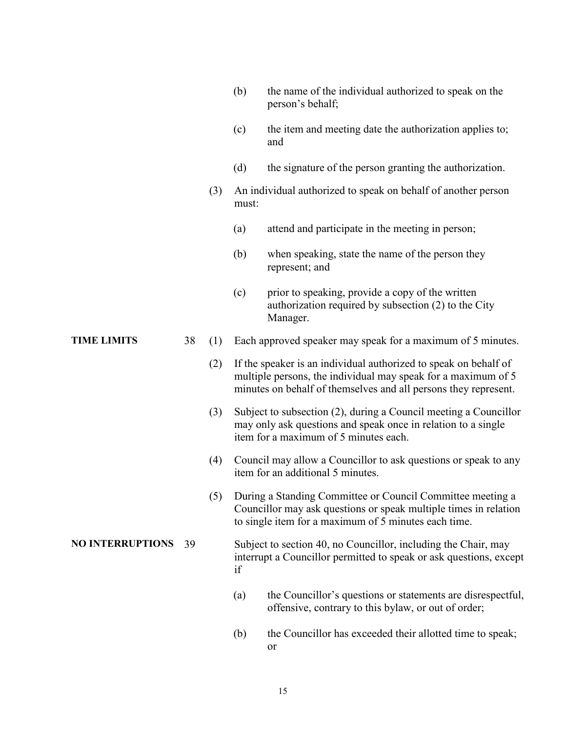|                         |    |     | (b)   | the name of the individual authorized to speak on the<br>person's behalf;                                                                                                                            |
|-------------------------|----|-----|-------|------------------------------------------------------------------------------------------------------------------------------------------------------------------------------------------------------|
|                         |    |     | (c)   | the item and meeting date the authorization applies to;<br>and                                                                                                                                       |
|                         |    |     | (d)   | the signature of the person granting the authorization.                                                                                                                                              |
|                         |    | (3) | must: | An individual authorized to speak on behalf of another person                                                                                                                                        |
|                         |    |     | (a)   | attend and participate in the meeting in person;                                                                                                                                                     |
|                         |    |     | (b)   | when speaking, state the name of the person they<br>represent; and                                                                                                                                   |
|                         |    |     | (c)   | prior to speaking, provide a copy of the written<br>authorization required by subsection (2) to the City<br>Manager.                                                                                 |
| <b>TIME LIMITS</b>      | 38 | (1) |       | Each approved speaker may speak for a maximum of 5 minutes.                                                                                                                                          |
|                         |    | (2) |       | If the speaker is an individual authorized to speak on behalf of<br>multiple persons, the individual may speak for a maximum of 5<br>minutes on behalf of themselves and all persons they represent. |
|                         |    | (3) |       | Subject to subsection (2), during a Council meeting a Councillor<br>may only ask questions and speak once in relation to a single<br>item for a maximum of 5 minutes each.                           |
|                         |    | (4) |       | Council may allow a Councillor to ask questions or speak to any<br>item for an additional 5 minutes.                                                                                                 |
|                         |    | (5) |       | During a Standing Committee or Council Committee meeting a<br>Councillor may ask questions or speak multiple times in relation<br>to single item for a maximum of 5 minutes each time.               |
| <b>NO INTERRUPTIONS</b> | 39 |     | if    | Subject to section 40, no Councillor, including the Chair, may<br>interrupt a Councillor permitted to speak or ask questions, except                                                                 |
|                         |    |     | (a)   | the Councillor's questions or statements are disrespectful,<br>offensive, contrary to this bylaw, or out of order;                                                                                   |
|                         |    |     | (b)   | the Councillor has exceeded their allotted time to speak;<br>or                                                                                                                                      |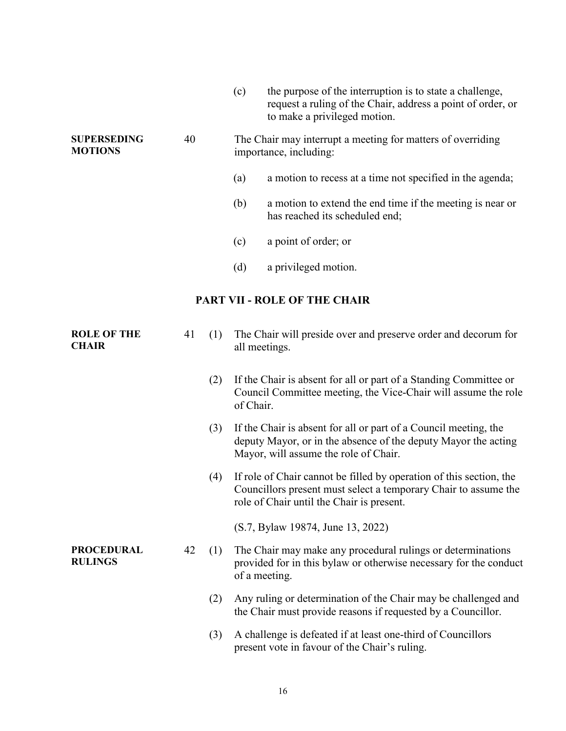|                                      |    |     | (c)       | the purpose of the interruption is to state a challenge,<br>request a ruling of the Chair, address a point of order, or<br>to make a privileged motion.                             |
|--------------------------------------|----|-----|-----------|-------------------------------------------------------------------------------------------------------------------------------------------------------------------------------------|
| <b>SUPERSEDING</b><br><b>MOTIONS</b> | 40 |     |           | The Chair may interrupt a meeting for matters of overriding<br>importance, including:                                                                                               |
|                                      |    |     | (a)       | a motion to recess at a time not specified in the agenda;                                                                                                                           |
|                                      |    |     | (b)       | a motion to extend the end time if the meeting is near or<br>has reached its scheduled end;                                                                                         |
|                                      |    |     | (c)       | a point of order; or                                                                                                                                                                |
|                                      |    |     | (d)       | a privileged motion.                                                                                                                                                                |
|                                      |    |     |           | <b>PART VII - ROLE OF THE CHAIR</b>                                                                                                                                                 |
| <b>ROLE OF THE</b><br><b>CHAIR</b>   | 41 | (1) |           | The Chair will preside over and preserve order and decorum for<br>all meetings.                                                                                                     |
|                                      |    | (2) | of Chair. | If the Chair is absent for all or part of a Standing Committee or<br>Council Committee meeting, the Vice-Chair will assume the role                                                 |
|                                      |    | (3) |           | If the Chair is absent for all or part of a Council meeting, the<br>deputy Mayor, or in the absence of the deputy Mayor the acting<br>Mayor, will assume the role of Chair.         |
|                                      |    | (4) |           | If role of Chair cannot be filled by operation of this section, the<br>Councillors present must select a temporary Chair to assume the<br>role of Chair until the Chair is present. |
|                                      |    |     |           | (S.7, Bylaw 19874, June 13, 2022)                                                                                                                                                   |
| <b>PROCEDURAL</b><br><b>RULINGS</b>  | 42 | (1) |           | The Chair may make any procedural rulings or determinations<br>provided for in this bylaw or otherwise necessary for the conduct<br>of a meeting.                                   |
|                                      |    | (2) |           | Any ruling or determination of the Chair may be challenged and<br>the Chair must provide reasons if requested by a Councillor.                                                      |
|                                      |    | (3) |           | A challenge is defeated if at least one-third of Councillors<br>present vote in favour of the Chair's ruling.                                                                       |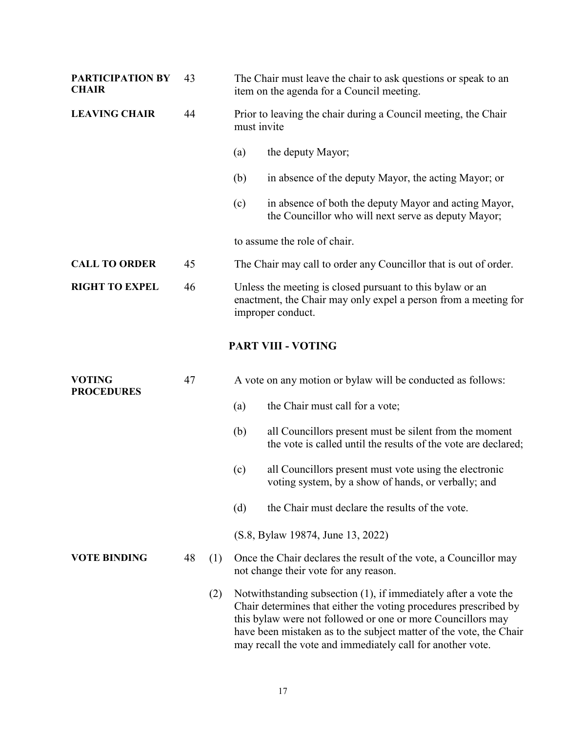| PARTICIPATION BY<br><b>CHAIR</b>   | 43 |     | The Chair must leave the chair to ask questions or speak to an<br>item on the agenda for a Council meeting. |                                                                                                                                                                                                                                                                                                                                        |  |
|------------------------------------|----|-----|-------------------------------------------------------------------------------------------------------------|----------------------------------------------------------------------------------------------------------------------------------------------------------------------------------------------------------------------------------------------------------------------------------------------------------------------------------------|--|
| <b>LEAVING CHAIR</b>               | 44 |     |                                                                                                             | Prior to leaving the chair during a Council meeting, the Chair<br>must invite                                                                                                                                                                                                                                                          |  |
|                                    |    |     | (a)                                                                                                         | the deputy Mayor;                                                                                                                                                                                                                                                                                                                      |  |
|                                    |    |     | (b)                                                                                                         | in absence of the deputy Mayor, the acting Mayor; or                                                                                                                                                                                                                                                                                   |  |
|                                    |    |     | (c)                                                                                                         | in absence of both the deputy Mayor and acting Mayor,<br>the Councillor who will next serve as deputy Mayor;                                                                                                                                                                                                                           |  |
|                                    |    |     |                                                                                                             | to assume the role of chair.                                                                                                                                                                                                                                                                                                           |  |
| <b>CALL TO ORDER</b>               | 45 |     |                                                                                                             | The Chair may call to order any Councillor that is out of order.                                                                                                                                                                                                                                                                       |  |
| <b>RIGHT TO EXPEL</b>              | 46 |     |                                                                                                             | Unless the meeting is closed pursuant to this bylaw or an<br>enactment, the Chair may only expel a person from a meeting for<br>improper conduct.                                                                                                                                                                                      |  |
|                                    |    |     |                                                                                                             | <b>PART VIII - VOTING</b>                                                                                                                                                                                                                                                                                                              |  |
| <b>VOTING</b><br><b>PROCEDURES</b> | 47 |     |                                                                                                             | A vote on any motion or bylaw will be conducted as follows:                                                                                                                                                                                                                                                                            |  |
|                                    |    |     | (a)                                                                                                         | the Chair must call for a vote;                                                                                                                                                                                                                                                                                                        |  |
|                                    |    |     | (b)                                                                                                         | all Councillors present must be silent from the moment<br>the vote is called until the results of the vote are declared;                                                                                                                                                                                                               |  |
|                                    |    |     | (c)                                                                                                         | all Councillors present must vote using the electronic<br>voting system, by a show of hands, or verbally; and                                                                                                                                                                                                                          |  |
|                                    |    |     | (d)                                                                                                         | the Chair must declare the results of the vote.                                                                                                                                                                                                                                                                                        |  |
|                                    |    |     |                                                                                                             | (S.8, Bylaw 19874, June 13, 2022)                                                                                                                                                                                                                                                                                                      |  |
| <b>VOTE BINDING</b>                | 48 | (1) |                                                                                                             | Once the Chair declares the result of the vote, a Councillor may<br>not change their vote for any reason.                                                                                                                                                                                                                              |  |
|                                    |    | (2) |                                                                                                             | Notwithstanding subsection (1), if immediately after a vote the<br>Chair determines that either the voting procedures prescribed by<br>this bylaw were not followed or one or more Councillors may<br>have been mistaken as to the subject matter of the vote, the Chair<br>may recall the vote and immediately call for another vote. |  |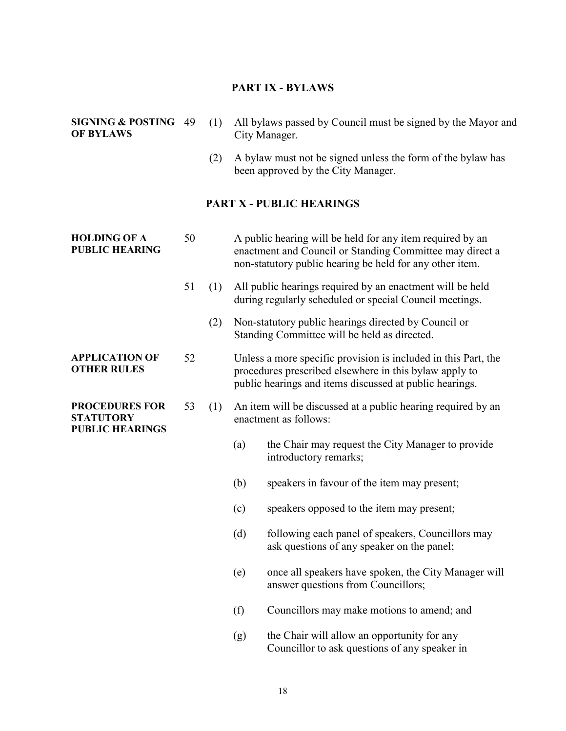### **PART IX - BYLAWS**

#### **SIGNING & POSTING OF BYLAWS**

- 49 (1) All bylaws passed by Council must be signed by the Mayor and City Manager.
	- (2) A bylaw must not be signed unless the form of the bylaw has been approved by the City Manager.

### **PART X - PUBLIC HEARINGS**

| <b>HOLDING OF A</b><br><b>PUBLIC HEARING</b>                        | 50 |     |                                                                                       | A public hearing will be held for any item required by an<br>enactment and Council or Standing Committee may direct a<br>non-statutory public hearing be held for any other item.   |
|---------------------------------------------------------------------|----|-----|---------------------------------------------------------------------------------------|-------------------------------------------------------------------------------------------------------------------------------------------------------------------------------------|
|                                                                     | 51 | (1) |                                                                                       | All public hearings required by an enactment will be held<br>during regularly scheduled or special Council meetings.                                                                |
|                                                                     |    | (2) |                                                                                       | Non-statutory public hearings directed by Council or<br>Standing Committee will be held as directed.                                                                                |
| <b>APPLICATION OF</b><br><b>OTHER RULES</b>                         | 52 |     |                                                                                       | Unless a more specific provision is included in this Part, the<br>procedures prescribed elsewhere in this bylaw apply to<br>public hearings and items discussed at public hearings. |
| <b>PROCEDURES FOR</b><br><b>STATUTORY</b><br><b>PUBLIC HEARINGS</b> | 53 | (1) | An item will be discussed at a public hearing required by an<br>enactment as follows: |                                                                                                                                                                                     |
|                                                                     |    |     | (a)                                                                                   | the Chair may request the City Manager to provide<br>introductory remarks;                                                                                                          |
|                                                                     |    |     | (b)                                                                                   | speakers in favour of the item may present;                                                                                                                                         |
|                                                                     |    |     | (c)                                                                                   | speakers opposed to the item may present;                                                                                                                                           |
|                                                                     |    |     | (d)                                                                                   | following each panel of speakers, Councillors may<br>ask questions of any speaker on the panel;                                                                                     |
|                                                                     |    |     | (e)                                                                                   | once all speakers have spoken, the City Manager will<br>answer questions from Councillors;                                                                                          |
|                                                                     |    |     | (f)                                                                                   | Councillors may make motions to amend; and                                                                                                                                          |
|                                                                     |    |     | (g)                                                                                   | the Chair will allow an opportunity for any<br>Councillor to ask questions of any speaker in                                                                                        |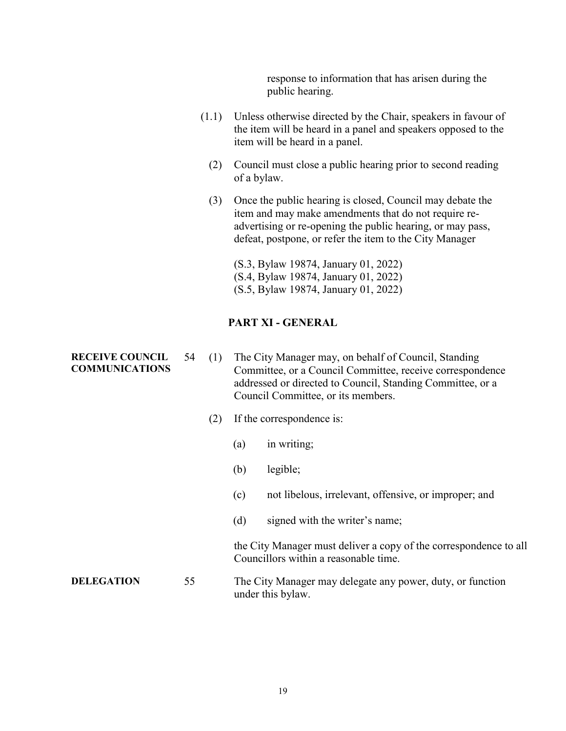response to information that has arisen during the public hearing.

- (1.1) Unless otherwise directed by the Chair, speakers in favour of the item will be heard in a panel and speakers opposed to the item will be heard in a panel.
	- (2) Council must close a public hearing prior to second reading of a bylaw.
	- (3) Once the public hearing is closed, Council may debate the item and may make amendments that do not require readvertising or re-opening the public hearing, or may pass, defeat, postpone, or refer the item to the City Manager

(S.3, Bylaw 19874, January 01, 2022) (S.4, Bylaw 19874, January 01, 2022) (S.5, Bylaw 19874, January 01, 2022)

### **PART XI - GENERAL**

- **RECEIVE COUNCIL**  54 (1) The City Manager may, on behalf of Council, Standing Committee, or a Council Committee, receive correspondence addressed or directed to Council, Standing Committee, or a Council Committee, or its members.
	- (2) If the correspondence is:
		- (a) in writing;
		- (b) legible;
		- (c) not libelous, irrelevant, offensive, or improper; and
		- (d) signed with the writer's name;

the City Manager must deliver a copy of the correspondence to all Councillors within a reasonable time.

**DELEGATION** 55 The City Manager may delegate any power, duty, or function under this bylaw.

# **COMMUNICATIONS**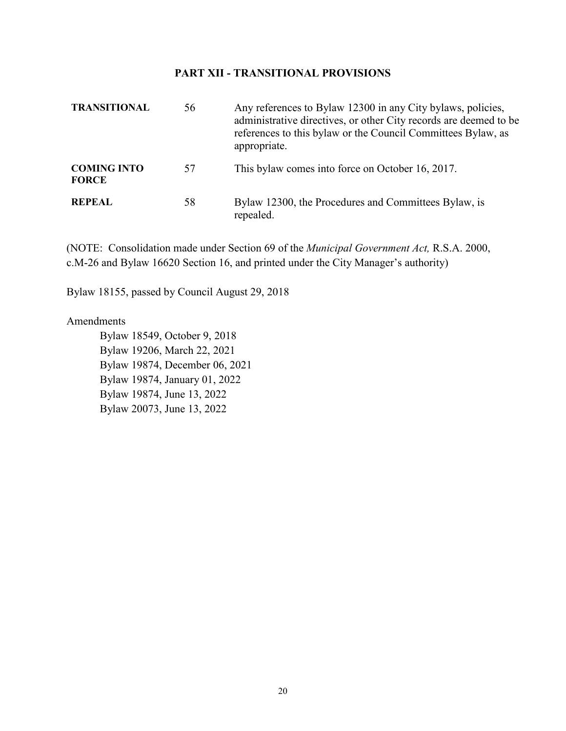#### **PART XII - TRANSITIONAL PROVISIONS**

| <b>TRANSITIONAL</b>                | 56 | Any references to Bylaw 12300 in any City bylaws, policies,<br>administrative directives, or other City records are deemed to be<br>references to this bylaw or the Council Committees Bylaw, as<br>appropriate. |
|------------------------------------|----|------------------------------------------------------------------------------------------------------------------------------------------------------------------------------------------------------------------|
| <b>COMING INTO</b><br><b>FORCE</b> | 57 | This bylaw comes into force on October 16, 2017.                                                                                                                                                                 |
| <b>REPEAL</b>                      | 58 | Bylaw 12300, the Procedures and Committees Bylaw, is<br>repealed.                                                                                                                                                |

(NOTE: Consolidation made under Section 69 of the *Municipal Government Act,* R.S.A. 2000, c.M-26 and Bylaw 16620 Section 16, and printed under the City Manager's authority)

Bylaw 18155, passed by Council August 29, 2018

#### Amendments

Bylaw 18549, October 9, 2018 Bylaw 19206, March 22, 2021 Bylaw 19874, December 06, 2021 Bylaw 19874, January 01, 2022 Bylaw 19874, June 13, 2022 Bylaw 20073, June 13, 2022